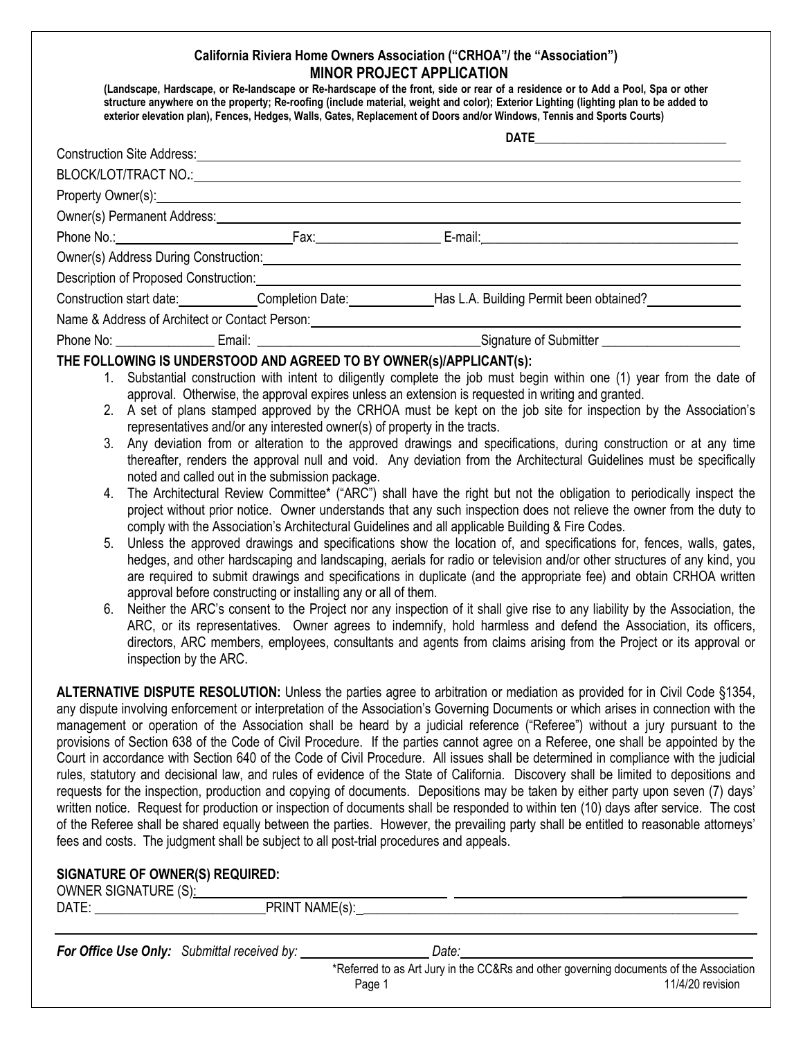## **California Riviera Home Owners Association ("CRHOA"/ the "Association") MINOR PROJECT APPLICATION**

**(Landscape, Hardscape, or Re-landscape or Re-hardscape of the front, side or rear of a residence or to Add a Pool, Spa or other structure anywhere on the property; Re-roofing (include material, weight and color); Exterior Lighting (lighting plan to be added to exterior elevation plan), Fences, Hedges, Walls, Gates, Replacement of Doors and/or Windows, Tennis and Sports Courts)**

| Construction Site Address: Management Construction Site Address:                                                                                                                                                               |                                                                                                                                                                                                                                |  |  |
|--------------------------------------------------------------------------------------------------------------------------------------------------------------------------------------------------------------------------------|--------------------------------------------------------------------------------------------------------------------------------------------------------------------------------------------------------------------------------|--|--|
| BLOCK/LOT/TRACT NO.: CONSUMING AND THE RESERVE TO A LOCAL CONSUMING A LOCAL CONSUMING A LOCAL CONSUMING A LOCAL CONSUMING A LOCAL CONSUMING A LOCAL CONSUMING A LOCAL CONSUMING A LOCAL CONSUMING A LOCAL CONSUMING A LOCAL CO |                                                                                                                                                                                                                                |  |  |
| Property Owner(s): Next Assembly Owner (s):                                                                                                                                                                                    |                                                                                                                                                                                                                                |  |  |
| Owner(s) Permanent Address: Notified and South Address: Note that the set of the set of the set of the set of the set of the set of the set of the set of the set of the set of the set of the set of the set of the set of th |                                                                                                                                                                                                                                |  |  |
|                                                                                                                                                                                                                                | Phone No.: 1990 1990 1991 1991 1992 1994 1994 1995 1996 1997 1998 1999 1994 1994 1995 1996 1997 1998 1999 199                                                                                                                  |  |  |
|                                                                                                                                                                                                                                | Owner(s) Address During Construction: Cambridge Construction Construction Construction Construction Construction                                                                                                               |  |  |
|                                                                                                                                                                                                                                | Description of Proposed Construction: Note that the construction of Proposed Construction:                                                                                                                                     |  |  |
|                                                                                                                                                                                                                                | Construction start date: Completion Date: Has L.A. Building Permit been obtained?                                                                                                                                              |  |  |
|                                                                                                                                                                                                                                | Name & Address of Architect or Contact Person: Manual Architect of Architect or Contact Person: Manual Architect or Contact Person: Manual Architect or Contact Person: Manual Architect or Contact Person: Manual Architect o |  |  |
|                                                                                                                                                                                                                                |                                                                                                                                                                                                                                |  |  |
| THE FOLLOWING IS UNDERSTOOD AND AGREED TO BY OWNER(s)/APPLICANT(s):                                                                                                                                                            |                                                                                                                                                                                                                                |  |  |
|                                                                                                                                                                                                                                | 1. Substantial construction with intent to diligently complete the job must begin within one (1) year from the date of                                                                                                         |  |  |
|                                                                                                                                                                                                                                | approval. Otherwise, the approval expires unless an extension is requested in writing and granted.<br>2 A set of plane stamped energyed by the CBHOA must be kept on the job oite for increation by the Association's          |  |  |

- 2. A set of plans stamped approved by the CRHOA must be kept on the job site for inspection by the Association's representatives and/or any interested owner(s) of property in the tracts.
- 3. Any deviation from or alteration to the approved drawings and specifications, during construction or at any time thereafter, renders the approval null and void. Any deviation from the Architectural Guidelines must be specifically noted and called out in the submission package.
- 4. The Architectural Review Committee\* ("ARC") shall have the right but not the obligation to periodically inspect the project without prior notice. Owner understands that any such inspection does not relieve the owner from the duty to comply with the Association's Architectural Guidelines and all applicable Building & Fire Codes.
- 5. Unless the approved drawings and specifications show the location of, and specifications for, fences, walls, gates, hedges, and other hardscaping and landscaping, aerials for radio or television and/or other structures of any kind, you are required to submit drawings and specifications in duplicate (and the appropriate fee) and obtain CRHOA written approval before constructing or installing any or all of them.
- 6. Neither the ARC's consent to the Project nor any inspection of it shall give rise to any liability by the Association, the ARC, or its representatives. Owner agrees to indemnify, hold harmless and defend the Association, its officers, directors, ARC members, employees, consultants and agents from claims arising from the Project or its approval or inspection by the ARC.

**ALTERNATIVE DISPUTE RESOLUTION:** Unless the parties agree to arbitration or mediation as provided for in Civil Code §1354, any dispute involving enforcement or interpretation of the Association's Governing Documents or which arises in connection with the management or operation of the Association shall be heard by a judicial reference ("Referee") without a jury pursuant to the provisions of Section 638 of the Code of Civil Procedure. If the parties cannot agree on a Referee, one shall be appointed by the Court in accordance with Section 640 of the Code of Civil Procedure. All issues shall be determined in compliance with the judicial rules, statutory and decisional law, and rules of evidence of the State of California. Discovery shall be limited to depositions and requests for the inspection, production and copying of documents. Depositions may be taken by either party upon seven (7) days' written notice. Request for production or inspection of documents shall be responded to within ten (10) days after service. The cost of the Referee shall be shared equally between the parties. However, the prevailing party shall be entitled to reasonable attorneys' fees and costs. The judgment shall be subject to all post-trial procedures and appeals.

## **SIGNATURE OF OWNER(S) REQUIRED:**

OWNER SIGNATURE (S):

| DATE: | <b>PRINT NAME(s):</b>                       |                                                                                        |
|-------|---------------------------------------------|----------------------------------------------------------------------------------------|
|       | For Office Use Only: Submittal received by: | Date:                                                                                  |
|       |                                             | *Referred to as Art Jury in the CC&Rs and other governing documents of the Association |

Page 1 11/4/20 revision